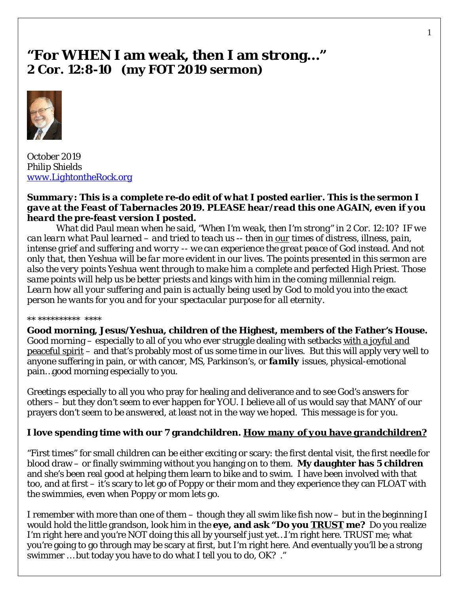# **"For WHEN I am weak, then I am strong…" 2 Cor. 12:8-10 (my FOT 2019 sermon)**



October 2019 *Philip Shields [www.LightontheRock.org](http://www.lightontherock.org/)*

#### *Summary: This is a complete re-do edit of what I posted earlier. This is the sermon I gave at the Feast of Tabernacles 2019. PLEASE hear/read this one AGAIN, even if you heard the pre-feast version I posted.*

*What did Paul mean when he said, "When I'm weak, then I'm strong" in 2 Cor. 12:10? IF we can learn what Paul learned – and tried to teach us -- then in our times of distress, illness, pain, intense grief and suffering and worry -- we can experience the great peace of God instead. And not only that, then Yeshua will be far more evident in our lives. The points presented in this sermon are also the very points Yeshua went through to make him a complete and perfected High Priest. Those same points will help us be better priests and kings with him in the coming millennial reign. Learn how all your suffering and pain is actually being used by God to mold you into the exact person he wants for you and for your spectacular purpose for all eternity.* 

#### \* \*\*\*\*\*\*\*\*\*\* \*\*\*\*

**Good morning, Jesus/Yeshua, children of the Highest, members of the Father's House.**  Good morning – especially to all of you who ever struggle dealing with setbacks with a joyful and peaceful spirit – and that's probably most of us some time in our lives. But this will apply very well to anyone suffering in pain, or with cancer, MS, Parkinson's, or *family* issues, physical-emotional pain…good morning especially to you.

Greetings especially to all you who pray for healing and deliverance and to see God's answers for others – but they don't seem to ever happen for YOU. I believe all of us would say that MANY of our prayers don't seem to be answered, at least not in the way we hoped. *This message is for you.* 

## **I love spending time with our 7 grandchildren.** *How many of you have grandchildren?*

"First times" for small children can be either exciting or scary: the first dental visit, the first needle for blood draw – or finally swimming without you hanging on to them. **My daughter has 5 children** and she's been real good at helping them learn to bike and to swim. I have been involved with that too, and at first – it's scary to let go of Poppy or their mom and they experience they can FLOAT with the swimmies, even when Poppy or mom lets go.

I remember with more than one of them – though they all swim like fish now – but in the beginning I would hold the little grandson, look him in the **eye, and ask "Do you** *TRUST* **me?** Do you realize I'm right here and you're NOT doing this all by yourself just yet…I'm right here. TRUST me; what you're going to go through may be scary at first, but I'm right here. And eventually you'll be a strong swimmer … but today you have to do what I tell you to do, OK? ."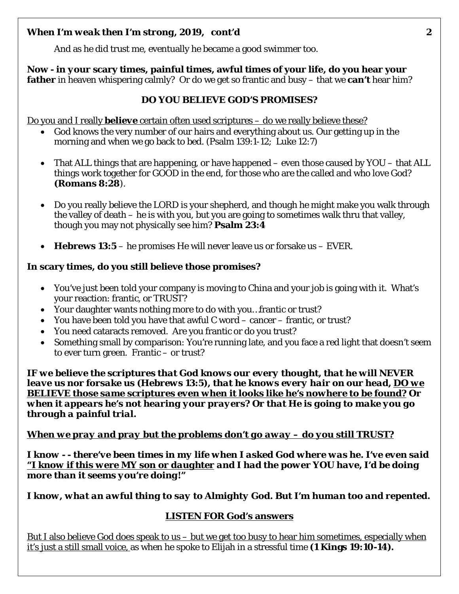And as he did trust me, eventually he became a good swimmer too.

**Now - in** *your* **scary times, painful times, awful times of your life, do you hear your father** in heaven whispering calmly? Or do we get so frantic and busy – that we **can't** hear him?

## **DO YOU BELIEVE GOD'S PROMISES?**

Do you and I really *believe* certain often used scriptures – do we really believe these?

- God knows the very number of our hairs and everything about us. Our getting up in the morning and when we go back to bed. (Psalm 139:1-12; Luke 12:7)
- That ALL things that are happening, or have happened even those caused by YOU that ALL things work together for GOOD in the end, for those who are the called and who love God? **(Romans 8:28**).
- Do you really believe the LORD is your shepherd, and though he might make you walk through the valley of death – he is with you, but you are going to sometimes walk thru that valley, though you may not physically see him? **Psalm 23:4**
- **Hebrews 13:5** he promises He will never leave us or forsake us EVER.

### **In scary times, do you still believe those promises?**

- You've just been told your company is moving to China and your job is going with it. What's your reaction: frantic, or TRUST?
- Your daughter wants nothing more to do with you…frantic or trust?
- You have been told you have that awful C word cancer frantic, or trust?
- You need cataracts removed. Are you frantic or do you trust?
- Something small by comparison: You're running late, and you face a red light that doesn't seem to ever turn green. Frantic – or trust?

*IF we believe the scriptures that God knows our every thought, that he will NEVER leave us nor forsake us (Hebrews 13:5), that he knows every hair on our head, DO we BELIEVE those same scriptures even when it looks like he's nowhere to be found? Or when it appears he's not hearing your prayers? Or that He is going to make you go through a painful trial.* 

## *When we pray and pray but the problems don't go away – do you still TRUST?*

*I know - - there've been times in my life when I asked God where was he. I've even said "I know if this were MY son or daughter and I had the power YOU have, I'd be doing more than it seems you're doing!"* 

## *I know, what an awful thing to say to Almighty God. But I'm human too and repented.*

## **LISTEN FOR God's answers**

But I also believe God does speak to us – but we get too busy to hear him sometimes, especially when it's just a still small voice, as when he spoke to Elijah in a stressful time **(1 Kings 19:10-14).**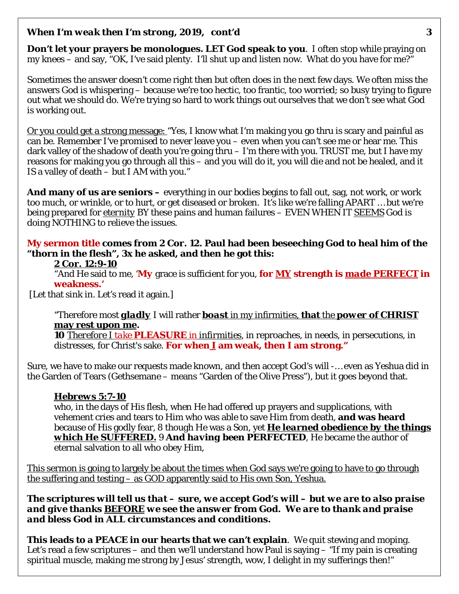**Don't let your prayers be monologues. LET God speak to you**. I often stop while praying on my knees – and say, "OK, I've said plenty. I'll shut up and listen now. What do you have for me?"

Sometimes the answer doesn't come right then but often does in the next few days. We often miss the answers God is whispering – because we're too hectic, too frantic, too worried; so busy trying to figure out what we should do. We're trying so hard to work things out ourselves that we don't see what God is working out.

Or you could get a strong message: "Yes, I know what I'm making you go thru is scary and painful as can be. Remember I've promised to never leave you – even when you can't see me or hear me. This dark valley of the shadow of death you're going thru – I'm there with you. TRUST me, but I have my reasons for making you go through all this – and you will do it, you will die and not be healed, and it IS a valley of death – but I AM with you."

**And many of us are seniors –** everything in our bodies begins to fall out, sag, not work, or work too much, or wrinkle, or to hurt, or get diseased or broken. It's like we're falling APART … but we're being prepared for *eternity* BY these pains and human failures – EVEN WHEN IT *SEEMS* God is doing NOTHING to relieve the issues.

**My sermon title comes from 2 Cor. 12. Paul had been beseeching God to heal him of the "thorn in the flesh", 3x he asked, and then he got this:**

#### **2 Cor. 12:9-10**

"And He said to me, '*My* grace is sufficient for you, **for** *MY* **strength is** *made PERFECT* **in weakness.'**

[Let that sink in. Let's read it again.]

"Therefore most *gladly* I will rather *boast* in my infirmities, **that** the *power* **of CHRIST may rest upon me.** 

**10** *Therefore I take PLEASURE in infirmities*, in reproaches, in needs, in persecutions, in distresses, for Christ's sake. **For when** *I* **am weak, then I am strong."**

Sure, we have to make our requests made known, and then accept God's will -… even as Yeshua did in the Garden of Tears (Gethsemane – means "Garden of the Olive Press"), but it goes beyond that.

#### *Hebrews 5:7-10*

who, in the days of His flesh, when He had offered up prayers and supplications, with vehement cries and tears to Him who was able to save Him from death, **and was heard** because of His godly fear, 8 though He was a Son, yet *He learned obedience by the things which He SUFFERED.* 9 *And having been PERFECTED*, He became the author of eternal salvation to all who obey Him,

This sermon is going to largely be about the times when God says we're going to have to go through the suffering and testing – as GOD apparently said to His own Son, Yeshua.

*The scriptures will tell us that – sure, we accept God's will – but we are to also praise and give thanks BEFORE we see the answer from God. We are to thank and praise and bless God in ALL circumstances and conditions.*

**This leads to a PEACE in our hearts that we can't explain**. We quit stewing and moping. Let's read a few scriptures – and then we'll understand how Paul is saying – "If my pain is creating spiritual muscle, making me strong by Jesus' strength, wow, I delight in my sufferings then!"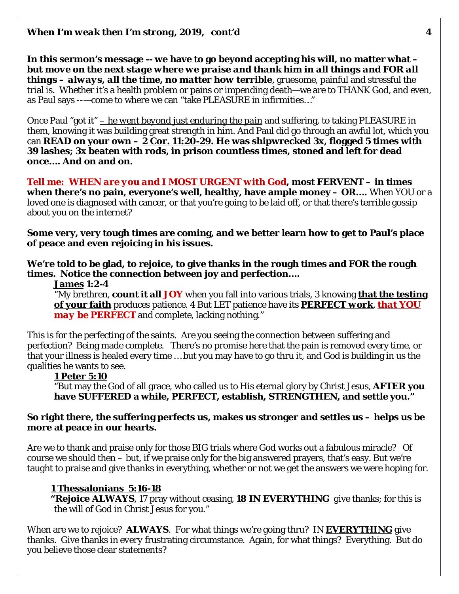**In this sermon's message -- we have to go beyond accepting his will, no matter what –** *but move on the next stage where we praise and thank him in all things and FOR all things – always, all the time, no matter how terrible*, gruesome, painful and stressful the trial is. Whether it's a health problem or pains or impending death—we are to THANK God, and even, as Paul says --—come to where we can "take PLEASURE in infirmities…"

Once Paul "got it" *– he went beyond just enduring the pain* and suffering, to taking PLEASURE in them, knowing it was building great strength in him. And Paul did go through an awful lot, which you can **READ on your own – 2 Cor. 11:20-29. He was shipwrecked 3x, flogged 5 times with 39 lashes; 3x beaten with rods, in prison countless times, stoned and left for dead once…. And on and on.** 

*Tell me: WHEN are you and I MOST URGENT with God***, most FERVENT – in times when there's no pain, everyone's well, healthy, have ample money – OR….** When YOU or a loved one is diagnosed with cancer, or that you're going to be laid off, or that there's terrible gossip about you on the internet?

**Some very, very tough times are coming, and we better learn how to get to Paul's place of peace and even rejoicing in his issues.** 

**We're told to be glad, to rejoice, to give thanks in the rough times and FOR the rough times. Notice the connection between joy and perfection….**

#### **James 1:2-4**

"My brethren, **count it all JOY** when you fall into various trials, 3 knowing **that the testing of your faith** produces patience. 4 But LET patience have its *PERFECT work*, *that YOU may be PERFECT* and complete, lacking nothing."

This is for the perfecting of the saints. Are you seeing the connection between suffering and perfection? Being made complete. There's no promise here that the pain is removed every time, or that your illness is healed every time … but you may have to go thru it, and God is building in us the qualities he wants to see.

#### **1 Peter 5:10**

"But may the God of all grace, who called us to His eternal glory by Christ Jesus, **AFTER you have SUFFERED a while, PERFECT, establish, STRENGTHEN, and** *settle* **you."**

#### **So right there, the suffering perfects us, makes us stronger and settles us – helps us be more at peace in our hearts.**

Are we to thank and praise only for those BIG trials where God works out a fabulous miracle? Of course we should then – but, if we praise only for the big answered prayers, that's easy. But we're taught to praise and give thanks in everything, whether or not we get the answers we were hoping for.

#### **1 Thessalonians 5:16-18**

**"Rejoice ALWAYS**, 17 pray without ceasing, *18 IN EVERYTHING* give thanks; for this is the will of God in Christ Jesus for you."

When are we to rejoice? **ALWAYS**. For what things we're going thru? IN *EVERYTHING* give thanks. Give thanks in *every* frustrating circumstance. Again, for what things? Everything. But do you believe those clear statements?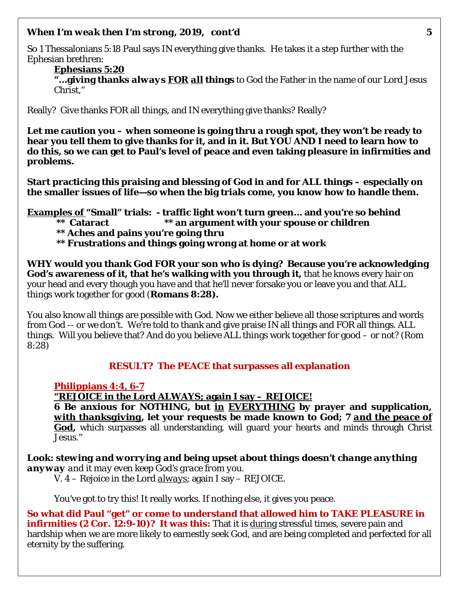So 1 Thessalonians 5:18 Paul says IN everything give thanks. He takes it a step further with the Ephesian brethren:

**Ephesians 5:20 "…giving thanks** *always* **FOR** *all* **things** to God the Father in the name of our Lord Jesus Christ,"

Really? Give thanks FOR all things, and IN everything give thanks? Really?

**Let me caution you – when someone is going thru a rough spot, they won't be ready to hear you tell them to give thanks for it, and in it. But YOU AND I need to learn how to do this, so we can get to Paul's level of peace and even taking pleasure in infirmities and problems.** 

**Start practicing this praising and blessing of God in and for ALL things – especially on the smaller issues of life—so when the big trials come, you know how to handle them.** 

**Examples of "Small" trials: - traffic light won't turn green… and you're so behind**

- **\*\* Cataract \*\* an argument with your spouse or children**
- **\*\* Aches and pains you're going thru**
- **\*\* Frustrations and things going wrong at home or at work**

**WHY would you thank God FOR your son who is dying? Because you're acknowledging God's awareness of it, that he's walking with you through it,** that he knows every hair on your head and every though you have and that he'll never forsake you or leave you and that ALL things work together for good (**Romans 8:28).**

You also know all things are possible with God. Now we either believe all those scriptures and words from God -- or we don't. We're told to thank and give praise IN all things and FOR all things. ALL things. Will you believe that? And do you believe ALL things work together for good – or not? (Rom 8:28)

#### **RESULT? The PEACE that surpasses all explanation**

#### **Philippians 4:4, 6-7**

**"REJOICE in the Lord** *ALWAYS***; again I say – REJOICE!**

**6 Be anxious for NOTHING, but** *in EVERYTHING* **by prayer and supplication,**  *with thanksgiving***, let your requests be made known to God; 7** *and the peace of*  **God**, which surpasses all understanding, will guard your hearts and minds through Christ Jesus."

*Look: stewing and worrying and being upset about things doesn't change anything anyway and it may even keep God's grace from you.*  V. 4 – Rejoice in the Lord *always*; again I say – REJOICE.

You've got to try this! It really works. If nothing else, it gives you peace.

**So what did Paul "get" or come to understand that allowed him to TAKE PLEASURE in infirmities (2 Cor. 12:9-10)? It was this:** That it is during stressful times, severe pain and hardship when we are more likely to earnestly seek God, and are being completed and perfected for all eternity by the suffering.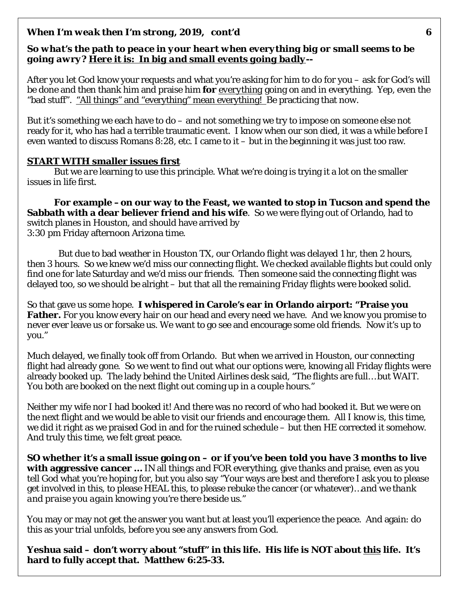#### *So what's the path to peace in your heart when everything big or small seems to be going awry? Here it is: In big and small events going badly--*

After you let God know your requests and what you're asking for him to do for you – ask for God's will be done and then thank him and praise him **for** *everything* going on and in everything. Yep, even the "bad stuff". "All things" and "everything" mean everything! Be practicing that *now*.

But it's something we each have to do – and not something we try to impose on someone else not ready for it, who has had a terrible traumatic event. I know when our son died, it was a while before I even wanted to discuss Romans 8:28, etc. I came to it – but in the beginning it was just too raw.

#### **START WITH smaller issues first**

But we *are* learning to use this principle. What we're doing is trying it a lot on the smaller issues in life first.

**For example –on our way to the Feast, we wanted to stop in Tucson and spend the Sabbath with a dear believer friend and his wife**. So we were flying out of Orlando, had to switch planes in Houston, and should have arrived by 3:30 pm Friday afternoon Arizona time.

 But due to bad weather in Houston TX, our Orlando flight was delayed 1 hr, then 2 hours, then 3 hours. So we knew we'd miss our connecting flight. We checked available flights but could only find one for late Saturday and we'd miss our friends. Then someone said the connecting flight was delayed too, so we should be alright – but that all the remaining Friday flights were booked solid.

So that gave us some hope. **I whispered in Carole's ear in Orlando airport: "Praise you Father.** For you know every hair on our head and every need we have. And we know you promise to never ever leave us or forsake us. We want to go see and encourage some old friends. Now it's up to you."

Much delayed, we finally took off from Orlando. But when we arrived in Houston, our connecting flight had already gone. So we went to find out what our options were, knowing all Friday flights were already booked up. The lady behind the United Airlines desk said, "The flights are full… but WAIT. You both are booked on the next flight out coming up in a couple hours."

Neither my wife nor I had booked it! And there was no record of who had booked it. But we were on the next flight and we would be able to visit our friends and encourage them. All I know is, this time, we did it right as we praised God in and for the ruined schedule – but then HE corrected it somehow. And truly this time, we felt great peace.

**SO whether it's a small issue going on – or if you've been told you have 3 months to live with aggressive cancer …** IN all things and FOR everything, give thanks and praise, even as you tell God what you're hoping for, but you also say "Your ways are best and therefore I ask you to please get involved in this, to please HEAL this, to please rebuke the cancer (or whatever)…*and we thank and praise you again knowing you're there beside us."* 

You may or may not get the answer you want but at least you'll experience the peace. And again: do this as your trial unfolds, before you see any answers from God.

**Yeshua said – don't worry about "stuff" in this life. His life is NOT about** *this* **life. It's hard to fully accept that. Matthew 6:25-33.**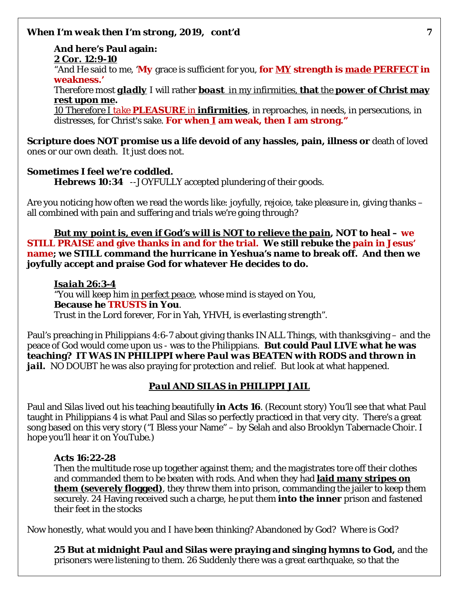**And here's Paul again: 2 Cor. 12:9-10**  "And He said to me, '*My* grace is sufficient for you, **for** *MY* **strength is** *made PERFECT* **in weakness.'** Therefore most *gladly* I will rather *boast* in my infirmities, **that** the *power* **of Christ may rest upon me.** 

*10 Therefore I take PLEASURE in infirmities*, in reproaches, in needs, in persecutions, in distresses, for Christ's sake. **For when** *I* **am weak, then I am strong."**

**Scripture does NOT promise us a life devoid of any hassles, pain, illness or** death of loved ones or our own death. It just does not.

## **Sometimes I feel we're coddled.**

**Hebrews 10:34** --JOYFULLY accepted plundering of their goods.

Are you noticing how often we read the words like: joyfully, rejoice, take pleasure in, giving thanks – all combined with pain and suffering and trials we're going through?

*But my point is, even if God's will is NOT to relieve the pain***, NOT to heal – we STILL PRAISE and give thanks in and for the trial. We still rebuke the pain in Jesus' name; we STILL command the hurricane in Yeshua's name to break off. And then we joyfully accept and praise God for whatever He decides to do.** 

*Isaiah 26:3-4*  "You will keep him *in perfect peace*, whose mind is stayed on You, **Because he TRUSTS in You**. Trust in the Lord forever, For in Yah, YHVH, is everlasting strength".

Paul's preaching in Philippians 4:6-7 about giving thanks IN ALL Things, with thanksgiving – and the peace of God would come upon us - was to the Philippians. **But could Paul LIVE what he was teaching***? IT WAS IN PHILIPPI where Paul was BEATEN with RODS and thrown in jail. NO* DOUBT he was also praying for protection and relief. But look at what happened.

## *Paul AND SILAS in PHILIPPI JAIL*

Paul and Silas lived out his teaching beautifully **in Acts 16**. (Recount story) You'll see that what Paul taught in Philippians 4 is what Paul and Silas so perfectly practiced in that very city. There's a great song based on this very story ("I Bless your Name" – by Selah and also Brooklyn Tabernacle Choir. I hope you'll hear it on YouTube.)

## **Acts 16:22-28**

Then the multitude rose up together against them; and the magistrates tore off their clothes and commanded them to be beaten with rods. And when they had **laid many stripes on them (severely flogged)**, they threw them into prison, commanding the jailer to keep them securely. 24 Having received such a charge, he put them **into the inner** prison and fastened their feet in the stocks

Now honestly, what would you and I have been thinking? Abandoned by God? Where is God?

**25 But at midnight Paul and Silas were praying and singing hymns to God,** and the prisoners were listening to them. 26 Suddenly there was a great earthquake, so that the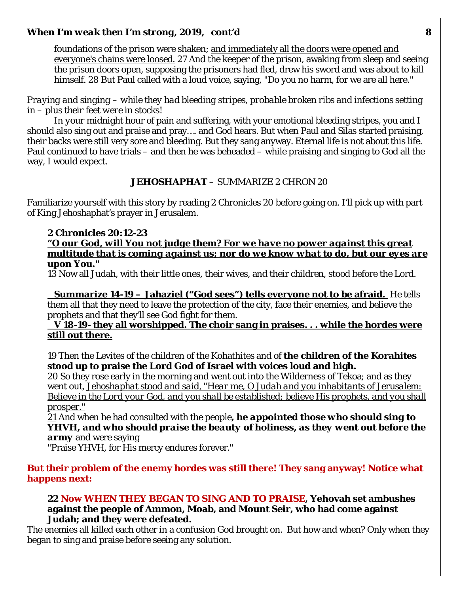foundations of the prison were shaken; and immediately all the doors were opened and everyone's chains were loosed. 27 And the keeper of the prison, awaking from sleep and seeing the prison doors open, supposing the prisoners had fled, drew his sword and was about to kill himself. 28 But Paul called with a loud voice, saying, "Do you no harm, for we are all here."

*Praying and singing – while they had bleeding stripes, probable broken ribs and infections setting in – plus their feet were in stocks!* 

In *your* midnight hour of pain and suffering, with your emotional bleeding stripes, you and I should also sing out and praise and pray…. and God hears. But when Paul and Silas started praising, their backs were still very sore and bleeding. But they sang anyway. Eternal life is not about this life. Paul continued to have trials – and then he was beheaded – while praising and singing to God all the way, I would expect.

#### **JEHOSHAPHAT** – SUMMARIZE 2 CHRON 20

Familiarize yourself with this story by reading 2 Chronicles 20 before going on. I'll pick up with part of King Jehoshaphat's prayer in Jerusalem.

#### **2 Chronicles 20:12-23**

*"O our God, will You not judge them? For we have no power against this great multitude that is coming against us; nor do we know what to do, but our eyes are upon You."* 

13 Now all Judah, with their little ones, their wives, and their children, stood before the Lord.

**Summarize 14-19 – Jahaziel ("God sees") tells everyone not to be afraid.** He tells them all that they need to leave the protection of the city, face their enemies, and believe the prophets and that they'll see God fight for them.

**V 18-19- they all worshipped. The choir sang in praises. . . while the hordes were still out there.** 

19 Then the Levites of the children of the Kohathites and of **the children of the Korahites stood up to praise the Lord God of Israel with voices loud and high.** 

20 So they rose early in the morning and went out into the Wilderness of Tekoa; and as they went out, *Jehoshaphat stood and said, "Hear me, O Judah and you inhabitants of Jerusalem: Believe in the Lord your God, and you shall be established; believe His prophets, and you shall prosper."* 

*21* And when he had consulted with the people*, he appointed those who should sing to YHVH, and who should praise the beauty of holiness, as they went out before the army* and were saying

"Praise YHVH, for His mercy endures forever."

#### **But their problem of the enemy hordes was still there! They sang anyway! Notice what happens next:**

#### **22 Now WHEN THEY BEGAN TO SING AND TO PRAISE, Yehovah set ambushes against the people of Ammon, Moab, and Mount Seir, who had come against Judah; and they were defeated.**

The enemies all killed each other in a confusion God brought on. But how and when? Only when they began to sing and praise before seeing any solution.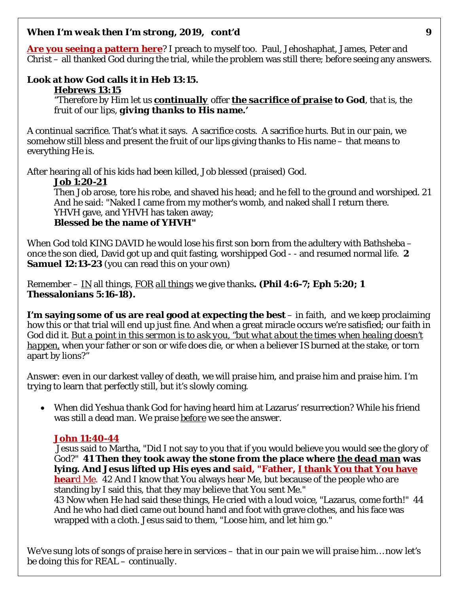**Are you seeing a pattern here**? I preach to myself too. Paul, Jehoshaphat, James, Peter and Christ – all thanked God during the trial, while the problem was still there; *before* seeing any answers.

## **Look at how God calls it in Heb 13:15.**

#### **Hebrews 13:15**

"Therefore by Him let us *continually* offer *the sacrifice of praise* **to God**, *that is, the fruit of our lips, giving thanks to His name.'*

A continual sacrifice. That's what it says. A sacrifice costs. A sacrifice hurts. But in our pain, we somehow still bless and present the fruit of our lips giving thanks to His name – that means to everything He is.

After hearing all of his kids had been killed, Job blessed (praised) God.

### **Job 1:20-21**

Then Job arose, tore his robe, and shaved his head; and he fell to the ground and worshiped. 21 And he said: "Naked I came from my mother's womb, and naked shall I return there. YHVH gave, and YHVH has taken away; **Blessed be the name of YHVH"**

When God told KING DAVID he would lose his first son born from the adultery with Bathsheba – once the son died, David got up and quit fasting, worshipped God - - and resumed normal life. **2 Samuel 12:13-23** (you can read this on your own)

Remember – IN all things, FOR *all things* we give thanks**. (Phil 4:6-7; Eph 5:20; 1 Thessalonians 5:16-18).** 

**I'm saying some of us are real good at expecting the best** – in faith, and we keep proclaiming how this or that trial will end up just fine. And when a great miracle occurs we're satisfied; our faith in God did it. *But a point in this sermon is to ask you, "but what about the times when healing doesn't happen,* when your father or son or wife does die, or when a believer IS burned at the stake, or torn apart by lions?"

Answer: even in our darkest valley of death, we will praise him, and praise him and praise him. I'm trying to learn that perfectly still, but it's slowly coming.

• When did Yeshua thank God for having heard him at Lazarus' resurrection? While his friend was still a dead man. We praise *before* we see the answer.

## **John 11:40-44**

Jesus said to Martha, "Did I not say to you that if you would believe you would see the glory of God?" **41 Then they took away the stone from the place where** *the dead man* **was lying. And Jesus lifted up His eyes and said, "Father, I thank You that You have hear**d Me. 42 And I know that You always hear Me, but because of the people who are standing by I said this, that they may believe that You sent Me." 43 Now when He had said these things, He cried with a loud voice, "Lazarus, come forth!" 44

And he who had died came out bound hand and foot with grave clothes, and his face was wrapped with a cloth. Jesus said to them, "Loose him, and let him go."

*We've sung lots of songs of praise here in services – that in our pain we will praise him… now let's be doing this for REAL – continually.*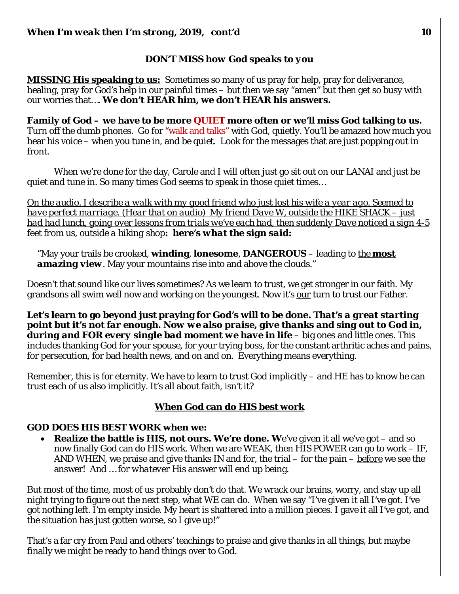## *DON'T MISS how God speaks to you*

**MISSING His speaking to us:** Sometimes so many of us pray for help, pray for deliverance, healing, pray for God's help in our painful times – but then we say "amen" but then get so busy with our worries that…. **We don't HEAR him, we don't HEAR his answers.** 

**Family of God – we have to be more QUIET more often or we'll miss God talking to us.**  Turn off the dumb phones. Go for "walk and talks" with God, quietly. You'll be amazed how much you hear his voice – when you tune in, and be quiet. Look for the messages that are just popping out in front.

When we're done for the day, Carole and I will often just go sit out on our LANAI and just be quiet and tune in. So many times God seems to speak in those quiet times…

*On the audio, I describe a walk with my good friend who just lost his wife a year ago. Seemed to have perfect marriage. (Hear that on audio) My friend Dave W, outside the HIKE SHACK – just had had lunch, going over lessons from trials we've each had, then suddenly Dave noticed a sign 4-5 feet from us, outside a hiking shop: here's what the sign said:*

"May your trails be crooked, **winding**, **lonesome**, **DANGEROUS** – leading to *the most*  **amazing view**. May your mountains rise into and above the clouds."

Doesn't that sound like our lives sometimes? As we learn to trust, we get stronger in our faith. My grandsons all swim well now and working on the youngest. Now it's *our* turn to trust our Father.

**Let's learn to go beyond just praying for God's will to be done.** *That's a great starting point but it's not far enough. Now we also praise, give thanks and sing out to God in, during and FOR every single bad moment we have in life* – big ones and little ones. This includes thanking God for your spouse, for your trying boss, for the constant arthritic aches and pains, for persecution, for bad health news, and on and on. Everything means everything.

Remember, this is for eternity. We have to learn to trust God implicitly – and HE has to know he can trust each of us also implicitly. It's all about faith, isn't it?

## **When God can do HIS best work**

#### **GOD DOES HIS BEST WORK when we:**

• **Realize the battle is HIS, not ours. We're done. W**e've given it all we've got – and so now finally God can do HIS work. When we are WEAK, then HIS POWER can go to work – IF, AND WHEN, we praise and give thanks IN and for, the trial – for the pain – *before* we see the answer! And … for *whatever* His answer will end up being.

But most of the time, most of us probably don't do that. We wrack our brains, worry, and stay up all night trying to figure out the next step, what WE can do. When we say "I've given it all I've got. I've got nothing left. I'm empty inside. My heart is shattered into a million pieces. I gave it all I've got, and the situation has just gotten worse, so I give up!"

That's a far cry from Paul and others' teachings to praise and give thanks in all things, but maybe finally we might be ready to hand things over to God.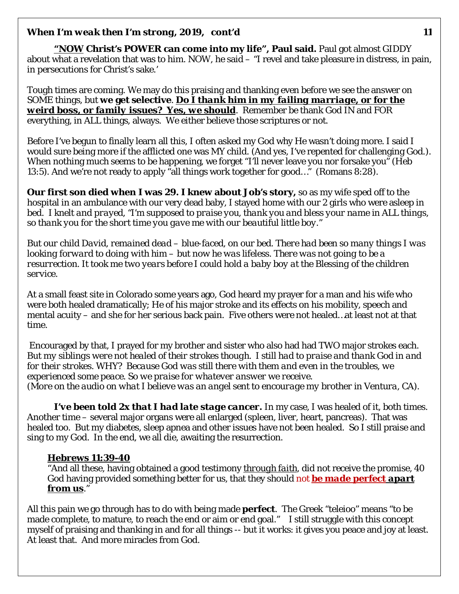*"NOW* **Christ's POWER can come into my life", Paul said.** Paul got almost GIDDY about what a revelation that was to him. NOW, he said – "I revel and take pleasure in distress, in pain, in persecutions for Christ's sake.'

Tough times are coming. We may do this praising and thanking even before we see the answer on SOME things, but **we get selective**. *Do I thank him in my failing marriage, or for the weird boss, or family issues? Yes, we should*. Remember be thank God IN and FOR everything, in ALL things, always. We either believe those scriptures or not.

Before I've begun to finally learn all this, I often asked my God why He wasn't doing more. I said I would sure being more if the afflicted one was MY child. (And yes, I've repented for challenging God.). When nothing much seems to be happening, we forget "I'll never leave you nor forsake you" (Heb 13:5). And we're not ready to apply "all things work together for good…" (Romans 8:28).

**Our first son died when I was 29. I knew about Job's story,** so as my wife sped off to the hospital in an ambulance with our very dead baby, I stayed home with our 2 girls who were asleep in bed. *I knelt and prayed, "I'm supposed to praise you, thank you and bless your name in ALL things, so thank you for the short time you gave me with our beautiful little boy."*

*But our child David, remained dead – blue-faced, on our bed. There had been so many things I was looking forward to doing with him – but now he was lifeless. There was not going to be a resurrection. It took me two years before I could hold a baby boy at the Blessing of the children service.* 

At a small feast site in Colorado some years ago, God heard my prayer for a man and his wife who were both healed dramatically; He of his major stroke and its effects on his mobility, speech and mental acuity – and she for her serious back pain. Five others were not healed…at least not at that time.

Encouraged by that, I prayed for my brother and sister who also had had TWO major strokes each. *But my siblings were not healed of their strokes though. I still had to praise and thank God in and for their strokes. WHY? Because God was still there with them and even in the troubles, we experienced some peace. So we praise for whatever answer we receive. (More on the audio on what I believe was an angel sent to encourage my brother in Ventura, CA).* 

*I've been told 2x that I had late stage cancer.* In my case, I was healed of it, both times. Another time – several major organs were all enlarged (spleen, liver, heart, pancreas). That was healed too. But my diabetes, sleep apnea and other issues have not been healed. So I still praise and sing to my God. In the end, we all die, awaiting the resurrection.

#### **Hebrews 11:39-40**

"And all these, having obtained a good testimony *through faith*, did not receive the promise, 40 God having provided something better for us, that they should not *be made perfect apart from us*."

All this pain we go through has to do with being made **perfect**. The Greek "teleioo" means "to be made complete, to mature, to reach the end or aim or end goal." I still struggle with this concept myself of praising and thanking in and for all things -- but it works: it gives you peace and joy at least. At least that. And more miracles from God.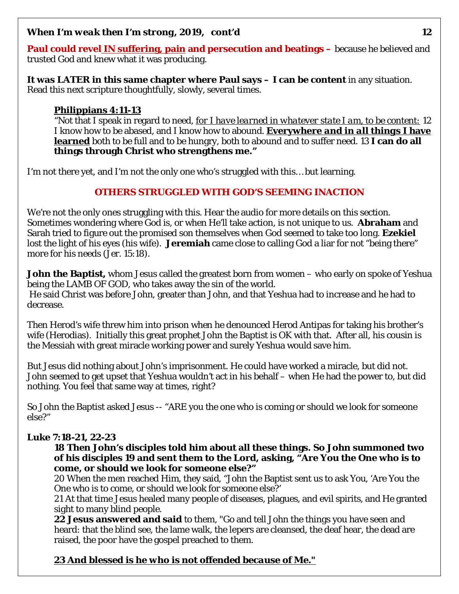**Paul could revel IN suffering, pain and persecution and beatings –** because he believed and trusted God and knew what it was producing.

**It was LATER in this same chapter where Paul says – I can be content** in any situation. Read this next scripture thoughtfully, slowly, several times.

#### **Philippians 4:11-13**

"Not that I speak in regard to need, *for I have learned in whatever state I am, to be content:* 12 I know how to be abased, and I know how to abound. **Everywhere** *and in all things* **I have learned** both to be full and to be hungry, both to abound and to suffer need. 13 **I can do all things through Christ who strengthens me."**

I'm not there yet, and I'm not the only one who's struggled with this… but learning.

### **OTHERS STRUGGLED WITH GOD'S SEEMING INACTION**

We're not the only ones struggling with this. Hear the audio for more details on this section. Sometimes wondering where God is, or when He'll take action, is not unique to us. **Abraham** and Sarah tried to figure out the promised son themselves when God seemed to take too long. **Ezekiel** lost the light of his eyes (his wife). **Jeremiah** came close to calling God a liar for not "being there" more for his needs (Jer. 15:18).

**John the Baptist,** whom Jesus called the greatest born from women – who early on spoke of Yeshua being the LAMB OF GOD, who takes away the sin of the world. He said Christ was before John, greater than John, and that Yeshua had to increase and he had to decrease.

Then Herod's wife threw him into prison when he denounced Herod Antipas for taking his brother's wife (Herodias). Initially this great prophet John the Baptist is OK with that. After all, his cousin is the Messiah with great miracle working power and surely Yeshua would save him.

But Jesus did nothing about John's imprisonment. He could have worked a miracle, but did not. John seemed to get upset that Yeshua wouldn't act in his behalf – when He had the power to, but did nothing. You feel that same way at times, right?

So John the Baptist asked Jesus -- "ARE you the one who is coming or should we look for someone else?"

#### **Luke 7:18-21, 22-23**

**18 Then John's disciples told him about all these things. So John summoned two of his disciples 19 and sent them to the Lord, asking, "Are You the One who is to come, or should we look for someone else?"**

20 When the men reached Him, they said, "John the Baptist sent us to ask You, 'Are You the One who is to come, or should we look for someone else?'

21 At that time Jesus healed many people of diseases, plagues, and evil spirits, and He granted sight to many blind people.

**22 Jesus answered and said** to them, "Go and tell John the things you have seen and heard: that the blind see, the lame walk, the lepers are cleansed, the deaf hear, the dead are raised, the poor have the gospel preached to them.

## *23 And blessed is he who is not offended because of Me."*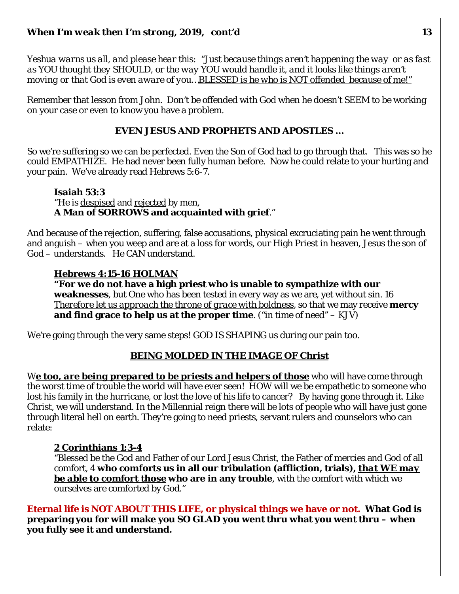*Yeshua warns us all, and please hear this: "Just because things aren't happening the way or as fast as YOU thought they SHOULD, or the way YOU would handle it, and it looks like things aren't moving or that God is even aware of you…BLESSED is he who is NOT offended because of me!"*

Remember that lesson from John. Don't be offended with God when he doesn't SEEM to be working on your case or even to know you have a problem.

#### **EVEN JESUS AND PROPHETS AND APOSTLES …**

So we're suffering so we can be perfected. Even the Son of God had to go through that. This was so he could EMPATHIZE. He had never been fully human before. Now he could relate to your hurting and your pain. We've already read Hebrews 5:6-7.

#### **Isaiah 53:3**  "He is despised and rejected by men, **A Man of SORROWS and acquainted with grief**."

And because of the rejection, suffering, false accusations, physical excruciating pain he went through and anguish – when you weep and are at a loss for words, our High Priest in heaven, Jesus the son of God – understands. He CAN understand.

### **Hebrews 4:15-16 HOLMAN**

**"For we do not have a high priest who is unable to sympathize with our weaknesses**, but One who has been tested in every way as we are, yet without sin. 16 *Therefore let us approach the throne of grace with boldness*, so that we may receive **mercy and find grace to help us at the proper time**. ("in time of need" – KJV)

We're going through the very same steps! GOD IS SHAPING us during our pain too.

#### **BEING MOLDED IN THE IMAGE OF Christ**

We too, are being prepared to be priests and helpers of those who will have come through the worst time of trouble the world will have ever seen! HOW will we be empathetic to someone who lost his family in the hurricane, or lost the love of his life to cancer? By having gone through it. Like Christ, we will understand. In the Millennial reign there will be lots of people who will have just gone through literal hell on earth. They're going to need priests, servant rulers and counselors who can relate:

#### **2 Corinthians 1:3-4**

"Blessed be the God and Father of our Lord Jesus Christ, the Father of mercies and God of all comfort, 4 **who comforts us in all our tribulation (affliction, trials),** *that WE may be able to comfort those* **who are in any trouble**, with the comfort with which we ourselves are comforted by God."

**Eternal life is NOT ABOUT THIS LIFE, or physical things we have or not. What God is preparing you for will make you SO GLAD you went thru what you went thru – when you fully see it and understand.**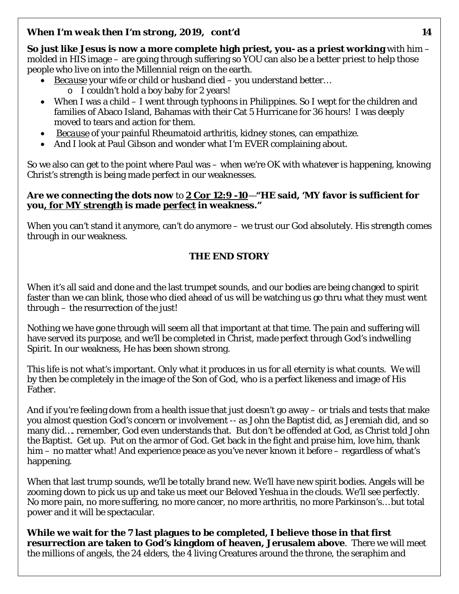**So just like Jesus is now a more complete high priest, you- as a priest working** with him – molded in HIS image – are going through suffering so YOU can also be a better priest to help those people who live on into the Millennial reign on the earth.

- *Because* your wife or child or husband died you understand better…
	- o I couldn't hold a boy baby for 2 years!
- When I was a child I went through typhoons in Philippines. So I wept for the children and families of Abaco Island, Bahamas with their Cat 5 Hurricane for 36 hours! I was deeply moved to tears and action for them.
- *Because* of your painful Rheumatoid arthritis, kidney stones, can empathize.
- And I look at Paul Gibson and wonder what I'm EVER complaining about.

So we also can get to the point where Paul was – when we're OK with whatever is happening, knowing Christ's strength is being made perfect in our weaknesses.

#### **Are we connecting the dots now** to **2 Cor 12:9 -10**—**"HE said, 'MY favor is sufficient for you, for** *MY* **strength is made** *perfect* **in weakness."**

When you can't stand it anymore, can't do anymore – we trust our God absolutely. His strength comes through in our weakness.

## **THE END STORY**

When it's all said and done and the last trumpet sounds, and our bodies are being changed to spirit faster than we can blink, those who died ahead of us will be watching us go thru what they must went through – the resurrection of the just!

Nothing we have gone through will seem all that important at that time. The pain and suffering will have served its purpose, and we'll be completed in Christ, made perfect through God's indwelling Spirit. In our weakness, He has been shown strong.

This life is not what's important. Only what it produces in us for all eternity is what counts. We will by then be completely in the image of the Son of God, who is a perfect likeness and image of His Father.

And if you're feeling down from a health issue that just doesn't go away – or trials and tests that make you almost question God's concern or involvement -- as John the Baptist did, as Jeremiah did, and so many did…. remember, God even understands that. But don't be offended at God, as Christ told John the Baptist. Get up. Put on the armor of God. Get back in the fight and praise him, love him, thank him – no matter what! And experience peace as you've never known it before – regardless of what's happening.

When that last trump sounds, we'll be totally brand new. We'll have new spirit bodies. Angels will be zooming down to pick us up and take us meet our Beloved Yeshua in the clouds. We'll see perfectly. No more pain, no more suffering, no more cancer, no more arthritis, no more Parkinson's… but total power and it will be spectacular.

**While we wait for the 7 last plagues to be completed, I believe those in that first resurrection are taken to God's kingdom of heaven, Jerusalem above**. There we will meet the millions of angels, the 24 elders, the 4 living Creatures around the throne, the seraphim and